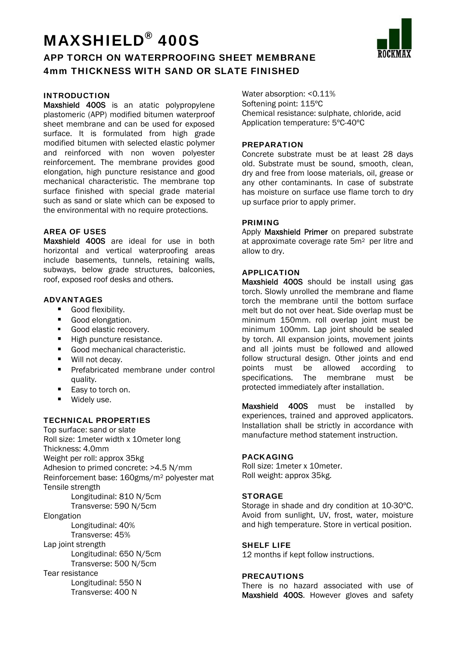# MAXSHIELD® 400S

### APP TORCH ON WATERPROOFING SHEET MEMBRANE 4mm THICKNESS WITH SAND OR SLATE FINISHED

#### INTRODUCTION

Maxshield 400S is an atatic polypropylene plastomeric (APP) modified bitumen waterproof sheet membrane and can be used for exposed surface. It is formulated from high grade modified bitumen with selected elastic polymer and reinforced with non woven polyester reinforcement. The membrane provides good elongation, high puncture resistance and good mechanical characteristic. The membrane top surface finished with special grade material such as sand or slate which can be exposed to the environmental with no require protections.

#### AREA OF USES

Maxshield 400S are ideal for use in both horizontal and vertical waterproofing areas include basements, tunnels, retaining walls, subways, below grade structures, balconies, roof, exposed roof desks and others.

#### ADVANTAGES

- **Good flexibility.**
- Good elongation.
- Good elastic recovery.
- High puncture resistance.
- Good mechanical characteristic.
- Will not decay.
- **Prefabricated membrane under control** quality.
- Easy to torch on.
- **Widely use.**

#### TECHNICAL PROPERTIES

Top surface: sand or slate Roll size: 1meter width x 10meter long Thickness: 4.0mm Weight per roll: approx 35kg Adhesion to primed concrete: >4.5 N/mm Reinforcement base: 160gms/m2 polyester mat Tensile strength Longitudinal: 810 N/5cm Transverse: 590 N/5cm Elongation Longitudinal: 40% Transverse: 45% Lap joint strength Longitudinal: 650 N/5cm Transverse: 500 N/5cm Tear resistance Longitudinal: 550 N Transverse: 400 N

Water absorption: <0.11% Softening point: 115ºC Chemical resistance: sulphate, chloride, acid Application temperature: 5ºC-40ºC

#### PREPARATION

Concrete substrate must be at least 28 days old. Substrate must be sound, smooth, clean, dry and free from loose materials, oil, grease or any other contaminants. In case of substrate has moisture on surface use flame torch to dry up surface prior to apply primer.

#### PRIMING

Apply **Maxshield Primer** on prepared substrate at approximate coverage rate 5m2 per litre and allow to dry.

#### APPLICATION

Maxshield 400S should be install using gas torch. Slowly unrolled the membrane and flame torch the membrane until the bottom surface melt but do not over heat. Side overlap must be minimum 150mm. roll overlap joint must be minimum 100mm. Lap joint should be sealed by torch. All expansion joints, movement joints and all joints must be followed and allowed follow structural design. Other joints and end points must be allowed according to specifications. The membrane must be protected immediately after installation.

Maxshield 400S must be installed by experiences, trained and approved applicators. Installation shall be strictly in accordance with manufacture method statement instruction.

#### **PACKAGING**

Roll size: 1meter x 10meter. Roll weight: approx 35kg.

#### **STORAGE**

Storage in shade and dry condition at 10-30ºC. Avoid from sunlight, UV, frost, water, moisture and high temperature. Store in vertical position.

#### SHELF LIFE

12 months if kept follow instructions.

#### PRECAUTIONS

There is no hazard associated with use of Maxshield 400S. However gloves and safety